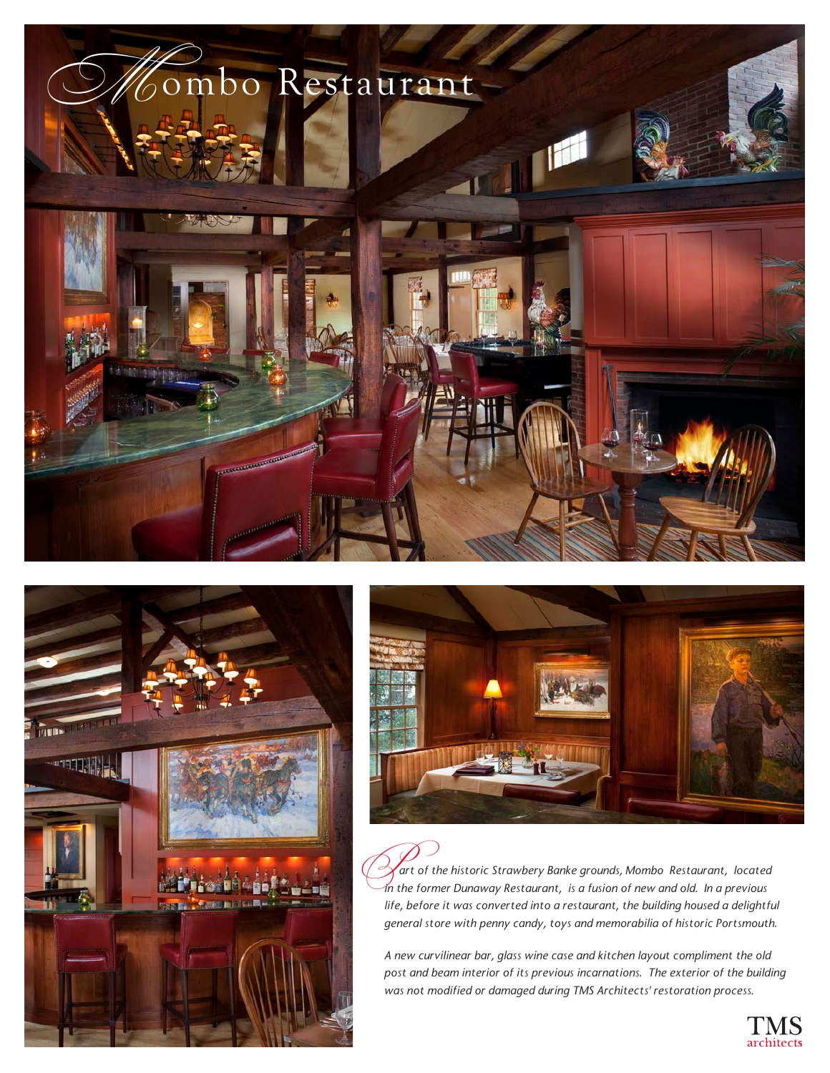





 *art of the historic Strawbery Banke grounds, Mombo Restaurant, located in the historic Strawbery Banke grounds, Mombo Restaurant, located in the former Dunaway Restaurant, is a fusion of new and old. In a previous life, before it was converted into a restaurant, the building housed a delightful general store with penny candy, toys and memorabilia of historic Portsmouth.* 

*A new curvilinear bar, glass wine case and kitchen layout compliment the old post and beam interior of its previous incarnations. The exterior of the building was not modified or damaged during TMS Architects' restoration process.*